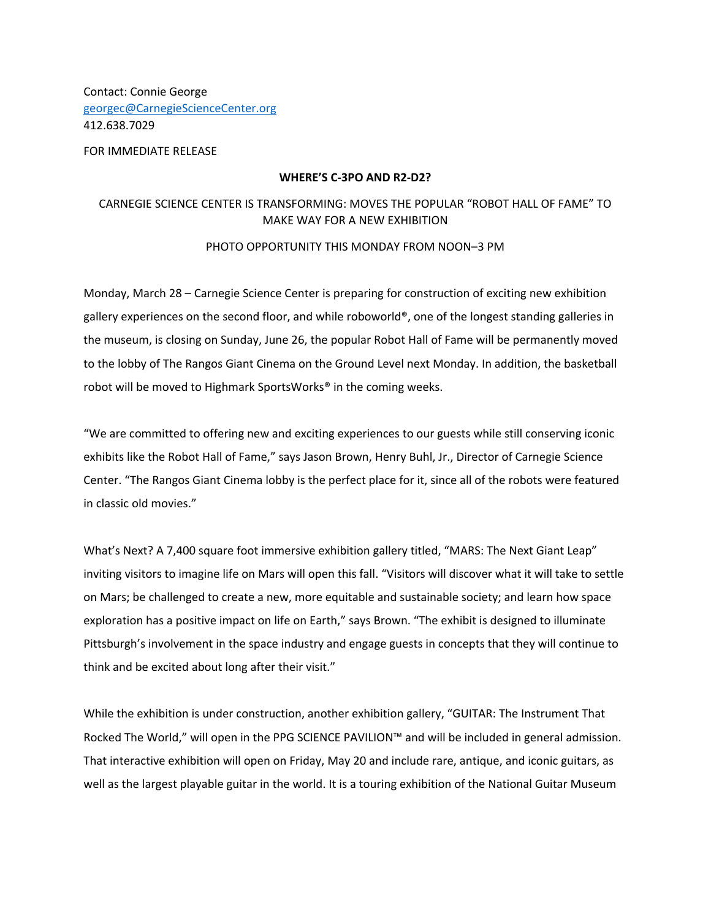Contact: Connie George georgec@CarnegieScienceCenter.org 412.638.7029

FOR IMMEDIATE RELEASE

## **WHERE'S C-3PO AND R2-D2?**

## CARNEGIE SCIENCE CENTER IS TRANSFORMING: MOVES THE POPULAR "ROBOT HALL OF FAME" TO MAKE WAY FOR A NEW EXHIBITION

## PHOTO OPPORTUNITY THIS MONDAY FROM NOON–3 PM

Monday, March 28 – Carnegie Science Center is preparing for construction of exciting new exhibition gallery experiences on the second floor, and while roboworld®, one of the longest standing galleries in the museum, is closing on Sunday, June 26, the popular Robot Hall of Fame will be permanently moved to the lobby of The Rangos Giant Cinema on the Ground Level next Monday. In addition, the basketball robot will be moved to Highmark SportsWorks® in the coming weeks.

"We are committed to offering new and exciting experiences to our guests while still conserving iconic exhibits like the Robot Hall of Fame," says Jason Brown, Henry Buhl, Jr., Director of Carnegie Science Center. "The Rangos Giant Cinema lobby is the perfect place for it, since all of the robots were featured in classic old movies."

What's Next? A 7,400 square foot immersive exhibition gallery titled, "MARS: The Next Giant Leap" inviting visitors to imagine life on Mars will open this fall. "Visitors will discover what it will take to settle on Mars; be challenged to create a new, more equitable and sustainable society; and learn how space exploration has a positive impact on life on Earth," says Brown. "The exhibit is designed to illuminate Pittsburgh's involvement in the space industry and engage guests in concepts that they will continue to think and be excited about long after their visit."

While the exhibition is under construction, another exhibition gallery, "GUITAR: The Instrument That Rocked The World," will open in the PPG SCIENCE PAVILION™ and will be included in general admission. That interactive exhibition will open on Friday, May 20 and include rare, antique, and iconic guitars, as well as the largest playable guitar in the world. It is a touring exhibition of the National Guitar Museum